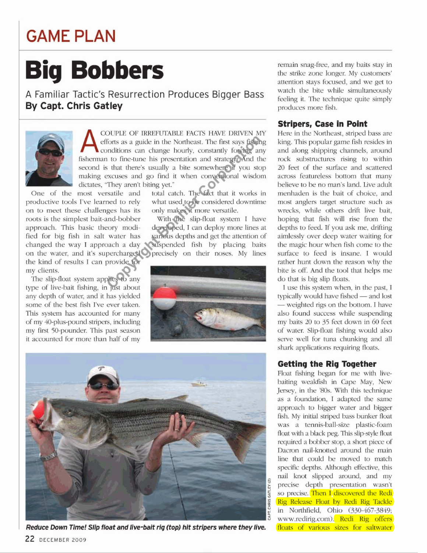## **GAME PLAN**

## **Big Bobbers**

A Familiar Tactic's Resurrection Produces Bigger Bass By **Capt. Chris Gatley** 



COUPLE OF IRREFUTABLE FACTS HAVE DRIVEN MY efforts as a guide in the Northeast. The first says fislung<br>conditions can change hourly, constantly forcing any Franchis as a guide in the conditions can change<br>
fisherman to fine-tune his proceed is that there's usuall<br>
making excuses and go find<br>
dictates, "They aren't biting you<br>
One of the most versatile and total fisherman to fine-tune his presentation and strategy. And the second is that there's usually a bite somewhere if you stop making excuses and go find it when conventional wisdom dictates, "They aren't biting yet."<br>most versatile and total catch. The fact that it works in

productive tools I've learned to rely what used to be considered downtime<br>on to meet these challenges has its only makes it more versatile. on to meet these challenges has its only makes it more versatile.<br>
roots is the simplest bait-and-bobber With the slip-float system I have roots is the simplest bait-and-bobber approach. This basic theory modified for big fish in salt water has changed the way I approach a day on the water, and it's supercharged precisely on their noses. My lines the kind of results I can provide for my clients.

The slip-float system applies to any type of live-bait fishing, in just about any depth of water, and it has yielded some of the best fish I've ever taken. **This** system has accounted for many of my 40-plus-pound stripers, including my first 50-pounder. This past season it accounted for more **than** half of my

developed, I can deploy more lines at various depths and get the attention of suspended fish by placing baits





I **raeducc Down** Time! **Slip float** *and* **liw-bait rig (top) hit stripers whem they live. 22 DECEMBER 2009** 

remain snag-free, and my baits stay in the strike zone longer. My customers' attention stays focwed, and we get to watch the bite while simultaneously feeling it. The technique quite simply produces more fish.

## **Stripers,** Case **in Point**

Here in the Northeast, striped bass are king. This popular game fish resides in and along shipping channels, around rock substructures rising to within 20 feet of the surface and scattered across featureless bottom that many believe to be no man's land. Live adult menhaden is the bait of choice, and most anglers target structure such as wrecks, while others drift live bait, hoping that fish will rise from the depths to feed. If you ask me, **drifting**  aimlessly over deep water waiting for the magic hour when fish come to the surface to feed is insane. I would rather hunt down the reason why the bite is off. And the tool that helps me do that is big slip floats.

I use this system when, in the past, I typically would have fished - and lost  $-$  weighted rigs on the bottom. I have also found success while suspending my baits **20** to 35 feet down in 60 feet of water. Slip-float fishing would also serve well for tuna **chunking** and all shark applications requiring floats.

## **Getting the Rig Together**

Float fishing **began** for me with **live**baiting weaktish in Cape **May,** New Jersey, in the **'80s.** With this technique as a foundation, I adapted the same approach to bigger water and bigger fish. My initial striped bass bunker float was a tennis-ball-size plastic-foam float with a black peg. This slip-style float required a bobber stop, a short piece of Dacron nail-knotted around the main line that could be moved to match specific depths. Although effective, this nail knot slipped around, and my precise depth presentation wasn't so precise. Then I discovered the Redi Rig Release Float by Redi Rig Tackle in Northfield, Ohio (330-467-3849; www.redirig.com). Redi Rig offers floats of various sizes for saltwater